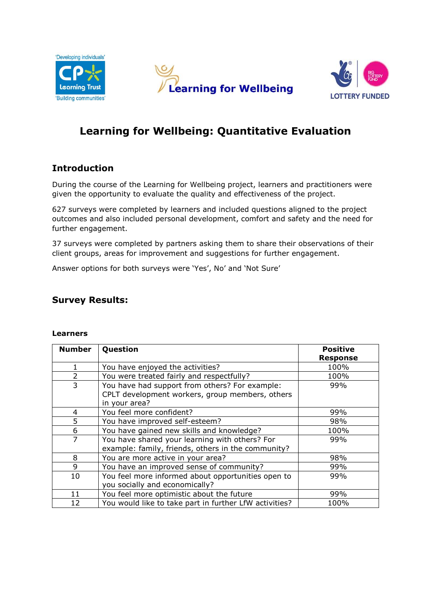





# **Learning for Wellbeing: Quantitative Evaluation**

### **Introduction**

During the course of the Learning for Wellbeing project, learners and practitioners were given the opportunity to evaluate the quality and effectiveness of the project.

627 surveys were completed by learners and included questions aligned to the project outcomes and also included personal development, comfort and safety and the need for further engagement.

37 surveys were completed by partners asking them to share their observations of their client groups, areas for improvement and suggestions for further engagement.

Answer options for both surveys were 'Yes', No' and 'Not Sure'

### **Survey Results:**

#### **Learners**

| <b>Number</b>  | Question                                               | <b>Positive</b> |
|----------------|--------------------------------------------------------|-----------------|
|                |                                                        | <b>Response</b> |
|                | You have enjoyed the activities?                       | 100%            |
| $\overline{2}$ | You were treated fairly and respectfully?              | 100%            |
| 3              | You have had support from others? For example:         | 99%             |
|                | CPLT development workers, group members, others        |                 |
|                | in your area?                                          |                 |
| 4              | You feel more confident?                               | 99%             |
| 5              | You have improved self-esteem?                         | 98%             |
| 6              | You have gained new skills and knowledge?              | 100%            |
| $\overline{7}$ | You have shared your learning with others? For         | 99%             |
|                | example: family, friends, others in the community?     |                 |
| 8              | You are more active in your area?                      | 98%             |
| 9              | You have an improved sense of community?               | 99%             |
| 10             | You feel more informed about opportunities open to     | 99%             |
|                | you socially and economically?                         |                 |
| 11             | You feel more optimistic about the future              | 99%             |
| 12             | You would like to take part in further LfW activities? | 100%            |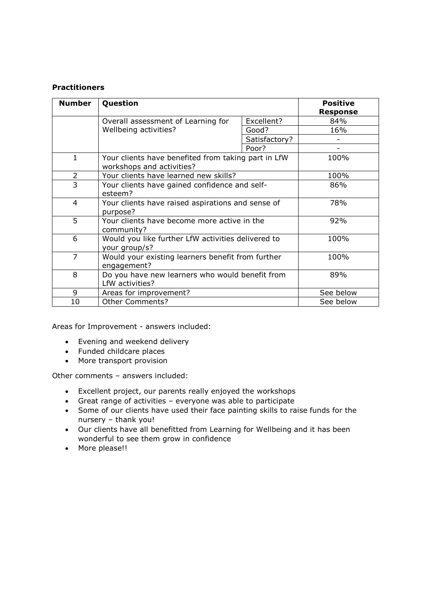#### **Practitioners**

| <b>Number</b>  | Question                                                                         | <b>Positive</b><br><b>Response</b> |      |  |
|----------------|----------------------------------------------------------------------------------|------------------------------------|------|--|
|                | Overall assessment of Learning for                                               | Excellent?                         | 84%  |  |
|                | Wellbeing activities?                                                            | Good?                              | 16%  |  |
|                |                                                                                  | Satisfactory?                      |      |  |
|                |                                                                                  | Poor?                              |      |  |
| $\mathbf{1}$   | Your clients have benefited from taking part in LfW<br>workshops and activities? | 100%                               |      |  |
| $\overline{2}$ | Your clients have learned new skills?                                            | 100%                               |      |  |
| $\overline{3}$ | Your clients have gained confidence and self-                                    | 86%                                |      |  |
|                | esteem?                                                                          |                                    |      |  |
| $\overline{4}$ | Your clients have raised aspirations and sense of                                | 78%                                |      |  |
|                | purpose?                                                                         |                                    |      |  |
| 5              | Your clients have become more active in the<br>community?                        | 92%                                |      |  |
| 6              | Would you like further LfW activities delivered to<br>your group/s?              | 100%                               |      |  |
| $\overline{7}$ | Would your existing learners benefit from further<br>engagement?                 |                                    | 100% |  |
| 8              | Do you have new learners who would benefit from<br>LfW activities?               | 89%                                |      |  |
| 9              | Areas for improvement?                                                           | See below                          |      |  |
| 10             | <b>Other Comments?</b>                                                           | See below                          |      |  |

Areas for Improvement - answers included:

- Evening and weekend delivery
- Funded childcare places
- More transport provision

Other comments – answers included:

- Excellent project, our parents really enjoyed the workshops
- Great range of activities everyone was able to participate
- Some of our clients have used their face painting skills to raise funds for the nursery – thank you!
- Our clients have all benefitted from Learning for Wellbeing and it has been wonderful to see them grow in confidence
- More please!!